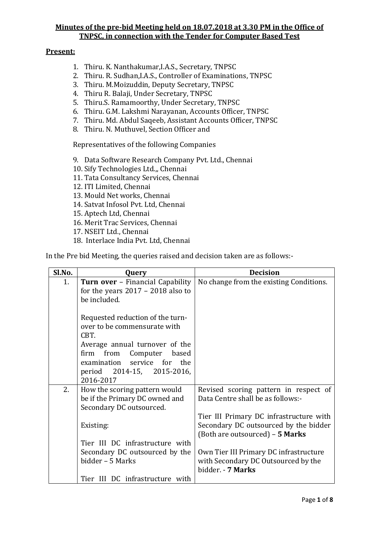### **Present:**

- 1. Thiru. K. Nanthakumar,I.A.S., Secretary, TNPSC
- 2. Thiru. R. Sudhan,I.A.S., Controller of Examinations, TNPSC
- 3. Thiru. M.Moizuddin, Deputy Secretary, TNPSC
- 4. Thiru R. Balaji, Under Secretary, TNPSC
- 5. Thiru.S. Ramamoorthy, Under Secretary, TNPSC
- 6. Thiru. G.M. Lakshmi Narayanan, Accounts Officer, TNPSC
- 7. Thiru. Md. Abdul Saqeeb, Assistant Accounts Officer, TNPSC
- 8. Thiru. N. Muthuvel, Section Officer and

Representatives of the following Companies

- 9. Data Software Research Company Pvt. Ltd., Chennai
- 10. Sify Technologies Ltd.,, Chennai
- 11. Tata Consultancy Services, Chennai
- 12. ITI Limited, Chennai
- 13. Mould Net works, Chennai
- 14. Satvat Infosol Pvt. Ltd, Chennai
- 15. Aptech Ltd, Chennai
- 16. Merit Trac Services, Chennai
- 17. NSEIT Ltd., Chennai
- 18. Interlace India Pvt. Ltd, Chennai

In the Pre bid Meeting, the queries raised and decision taken are as follows:-

| Sl.No.         | Query                                                                                                                                                                                                                  | <b>Decision</b>                                                                                                     |
|----------------|------------------------------------------------------------------------------------------------------------------------------------------------------------------------------------------------------------------------|---------------------------------------------------------------------------------------------------------------------|
| 1 <sub>1</sub> | <b>Turn over</b> - Financial Capability                                                                                                                                                                                | No change from the existing Conditions.                                                                             |
|                | for the years $2017 - 2018$ also to                                                                                                                                                                                    |                                                                                                                     |
|                | be included.                                                                                                                                                                                                           |                                                                                                                     |
|                | Requested reduction of the turn-<br>over to be commensurate with<br>CBT.<br>Average annual turnover of the<br>firm from Computer<br>based<br>examination service for<br>the<br>period 2014-15, 2015-2016,<br>2016-2017 |                                                                                                                     |
| 2.             | How the scoring pattern would<br>be if the Primary DC owned and<br>Secondary DC outsourced.                                                                                                                            | Revised scoring pattern in respect of<br>Data Centre shall be as follows:-                                          |
|                | Existing:                                                                                                                                                                                                              | Tier III Primary DC infrastructure with<br>Secondary DC outsourced by the bidder<br>(Both are outsourced) - 5 Marks |
|                | Tier III DC infrastructure with                                                                                                                                                                                        |                                                                                                                     |
|                | Secondary DC outsourced by the                                                                                                                                                                                         | Own Tier III Primary DC infrastructure                                                                              |
|                | bidder - 5 Marks                                                                                                                                                                                                       | with Secondary DC Outsourced by the<br>bidder. - 7 Marks                                                            |
|                | Tier III DC infrastructure with                                                                                                                                                                                        |                                                                                                                     |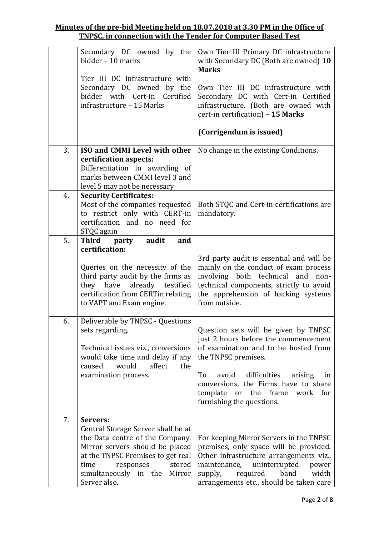| Secondary DC owned by the<br>Own Tier III Primary DC infrastructure          |       |
|------------------------------------------------------------------------------|-------|
| bidder - 10 marks<br>with Secondary DC (Both are owned) 10<br><b>Marks</b>   |       |
| Tier III DC infrastructure with                                              |       |
| Secondary DC owned by the<br>Own Tier III DC infrastructure with             |       |
| bidder with Cert-in Certified<br>Secondary DC with Cert-in Certified         |       |
| infrastructure - 15 Marks<br>infrastructure. (Both are owned with            |       |
| cert-in certification) - 15 Marks                                            |       |
| (Corrigendum is issued)                                                      |       |
| 3.<br>ISO and CMMI Level with other<br>No change in the existing Conditions. |       |
| certification aspects:                                                       |       |
| Differentiation in awarding of                                               |       |
| marks between CMMI level 3 and                                               |       |
| level 5 may not be necessary                                                 |       |
| <b>Security Certificates:</b><br>4.                                          |       |
| Most of the companies requested<br>Both STQC and Cert-in certifications are  |       |
| to restrict only with CERT-in<br>mandatory.                                  |       |
| certification and no need for                                                |       |
| STQC again                                                                   |       |
| 5.<br>Third party<br>audit<br>and                                            |       |
| certification:                                                               |       |
| 3rd party audit is essential and will be                                     |       |
| mainly on the conduct of exam process<br>Queries on the necessity of the     |       |
| third party audit by the firms as<br>involving both technical and non-       |       |
| they have already testified<br>technical components, strictly to avoid       |       |
| the apprehension of hacking systems<br>certification from CERTin relating    |       |
| to VAPT and Exam engine.<br>from outside.                                    |       |
| Deliverable by TNPSC - Questions<br>6.                                       |       |
| Question sets will be given by TNPSC<br>sets regarding.                      |       |
| just 2 hours before the commencement                                         |       |
| of examination and to be hosted from<br>Technical issues viz., conversions   |       |
|                                                                              |       |
|                                                                              |       |
| would take time and delay if any<br>the TNPSC premises.                      |       |
| would<br>affect<br>the<br>caused                                             |       |
| To<br>avoid<br>difficulties<br>examination process.<br>arising               | in    |
| conversions, the Firms have to share                                         |       |
| template<br>or the frame<br>work for                                         |       |
| furnishing the questions.                                                    |       |
| 7.<br>Servers:                                                               |       |
| Central Storage Server shall be at                                           |       |
| the Data centre of the Company.<br>For keeping Mirror Servers in the TNPSC   |       |
| Mirror servers should be placed<br>premises, only space will be provided.    |       |
| Other infrastructure arrangements viz.,<br>at the TNPSC Premises to get real |       |
| uninterrupted<br>stored<br>time<br>responses<br>maintenance,                 | power |
| simultaneously in the Mirror<br>supply,<br>required<br>band                  | width |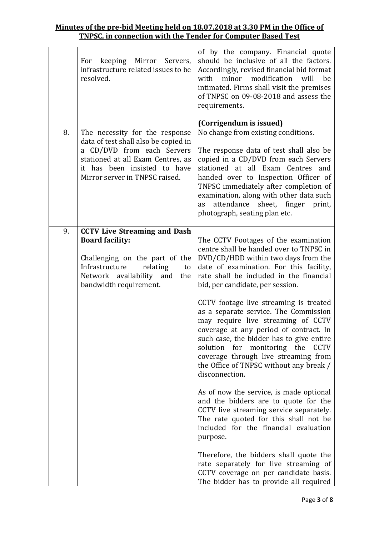|    | For keeping Mirror Servers,<br>infrastructure related issues to be<br>resolved.                                                                                           | of by the company. Financial quote<br>should be inclusive of all the factors.<br>Accordingly, revised financial bid format<br>minor modification will<br>with<br>be<br>intimated. Firms shall visit the premises<br>of TNPSC on 09-08-2018 and assess the<br>requirements.<br>(Corrigendum is issued)                                                          |
|----|---------------------------------------------------------------------------------------------------------------------------------------------------------------------------|----------------------------------------------------------------------------------------------------------------------------------------------------------------------------------------------------------------------------------------------------------------------------------------------------------------------------------------------------------------|
| 8. | The necessity for the response                                                                                                                                            | No change from existing conditions.                                                                                                                                                                                                                                                                                                                            |
|    | data of test shall also be copied in<br>a CD/DVD from each Servers<br>stationed at all Exam Centres, as<br>it has been insisted to have<br>Mirror server in TNPSC raised. | The response data of test shall also be<br>copied in a CD/DVD from each Servers<br>stationed at all Exam Centres and<br>handed over to Inspection Officer of<br>TNPSC immediately after completion of<br>examination, along with other data such<br>attendance sheet, finger<br>print,<br>as<br>photograph, seating plan etc.                                  |
| 9. | <b>CCTV Live Streaming and Dash</b>                                                                                                                                       |                                                                                                                                                                                                                                                                                                                                                                |
|    | <b>Board facility:</b><br>Challenging on the part of the<br>Infrastructure<br>relating<br>to<br>Network availability and<br>the<br>bandwidth requirement.                 | The CCTV Footages of the examination<br>centre shall be handed over to TNPSC in<br>DVD/CD/HDD within two days from the<br>date of examination. For this facility,<br>rate shall be included in the financial<br>bid, per candidate, per session.                                                                                                               |
|    |                                                                                                                                                                           | CCTV footage live streaming is treated<br>as a separate service. The Commission<br>may require live streaming of CCTV<br>coverage at any period of contract. In<br>such case, the bidder has to give entire<br>solution for monitoring the<br><b>CCTV</b><br>coverage through live streaming from<br>the Office of TNPSC without any break /<br>disconnection. |
|    |                                                                                                                                                                           | As of now the service, is made optional<br>and the bidders are to quote for the<br>CCTV live streaming service separately.<br>The rate quoted for this shall not be<br>included for the financial evaluation<br>purpose.                                                                                                                                       |
|    |                                                                                                                                                                           | Therefore, the bidders shall quote the<br>rate separately for live streaming of<br>CCTV coverage on per candidate basis.<br>The bidder has to provide all required                                                                                                                                                                                             |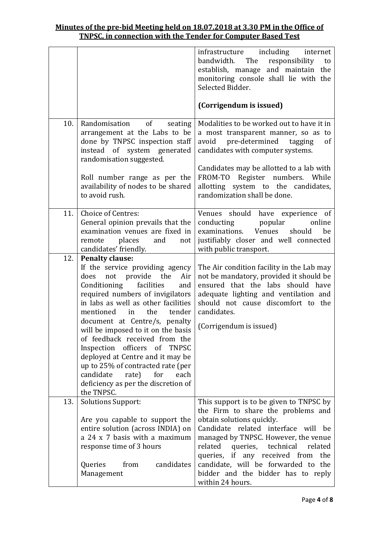|     |                                                                                                                                                                                                                                                                                                                                                                                                                                                                                                                                                      | infrastructure including internet<br>bandwidth. The<br>responsibility<br>to<br>establish, manage and maintain the<br>monitoring console shall lie with the<br>Selected Bidder.<br>(Corrigendum is issued)                                                                                                                                                                      |
|-----|------------------------------------------------------------------------------------------------------------------------------------------------------------------------------------------------------------------------------------------------------------------------------------------------------------------------------------------------------------------------------------------------------------------------------------------------------------------------------------------------------------------------------------------------------|--------------------------------------------------------------------------------------------------------------------------------------------------------------------------------------------------------------------------------------------------------------------------------------------------------------------------------------------------------------------------------|
| 10. | Randomisation of<br>seating<br>arrangement at the Labs to be<br>done by TNPSC inspection staff<br>instead of system generated<br>randomisation suggested.<br>Roll number range as per the<br>availability of nodes to be shared<br>to avoid rush.                                                                                                                                                                                                                                                                                                    | Modalities to be worked out to have it in<br>a most transparent manner, so as to<br>avoid pre-determined tagging<br>of<br>candidates with computer systems.<br>Candidates may be allotted to a lab with<br>FROM-TO Register numbers. While<br>allotting system to the candidates,<br>randomization shall be done.                                                              |
| 11. | Choice of Centres:<br>General opinion prevails that the<br>examination venues are fixed in<br>places and<br>remote<br>not<br>candidates' friendly.                                                                                                                                                                                                                                                                                                                                                                                                   | Venues should have experience of<br>conducting<br>popular<br>online<br>examinations. Venues<br>should<br>be<br>justifiably closer and well connected<br>with public transport.                                                                                                                                                                                                 |
| 12. | <b>Penalty clause:</b><br>If the service providing agency<br>does not provide the<br>Air<br>Conditioning facilities<br>and<br>required numbers of invigilators<br>in labs as well as other facilities<br>the<br>tender<br>mentioned<br>in<br>document at Centre/s, penalty<br>will be imposed to it on the basis<br>of feedback received from the<br>Inspection officers of TNPSC<br>deployed at Centre and it may be<br>up to 25% of contracted rate (per<br>candidate<br>rate)<br>for<br>each<br>deficiency as per the discretion of<br>the TNPSC. | The Air condition facility in the Lab may<br>not be mandatory, provided it should be<br>ensured that the labs should have<br>adequate lighting and ventilation and<br>should not cause discomfort to the<br>candidates.<br>(Corrigendum is issued)                                                                                                                             |
| 13. | <b>Solutions Support:</b><br>Are you capable to support the<br>entire solution (across INDIA) on<br>a 24 x 7 basis with a maximum<br>response time of 3 hours<br>candidates<br>Queries<br>from<br>Management                                                                                                                                                                                                                                                                                                                                         | This support is to be given to TNPSC by<br>the Firm to share the problems and<br>obtain solutions quickly.<br>Candidate related interface will be<br>managed by TNPSC. However, the venue<br>related<br>technical<br>related<br>queries,<br>queries, if any received from the<br>candidate, will be forwarded to the<br>bidder and the bidder has to reply<br>within 24 hours. |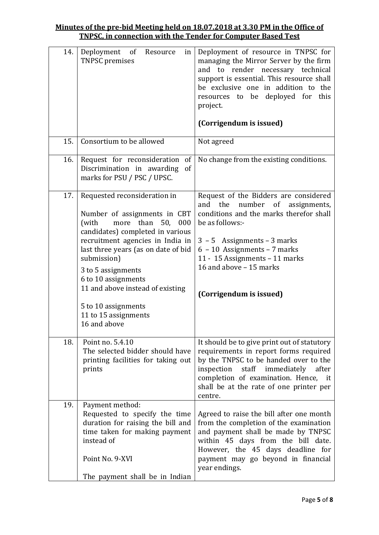| 14. | of<br>Deployment<br>Resource<br>in<br><b>TNPSC</b> premises                                                                                                                                                                                                                                                                                                              | Deployment of resource in TNPSC for<br>managing the Mirror Server by the firm<br>and to render necessary technical<br>support is essential. This resource shall<br>be exclusive one in addition to the<br>deployed for this<br>resources to be<br>project.<br>(Corrigendum is issued)                        |
|-----|--------------------------------------------------------------------------------------------------------------------------------------------------------------------------------------------------------------------------------------------------------------------------------------------------------------------------------------------------------------------------|--------------------------------------------------------------------------------------------------------------------------------------------------------------------------------------------------------------------------------------------------------------------------------------------------------------|
| 15. | Consortium to be allowed                                                                                                                                                                                                                                                                                                                                                 | Not agreed                                                                                                                                                                                                                                                                                                   |
| 16. | Request for reconsideration of<br>Discrimination in awarding<br>of<br>marks for PSU / PSC / UPSC.                                                                                                                                                                                                                                                                        | No change from the existing conditions.                                                                                                                                                                                                                                                                      |
| 17. | Requested reconsideration in<br>Number of assignments in CBT<br>more than 50, 000<br>(with<br>candidates) completed in various<br>recruitment agencies in India in<br>last three years (as on date of bid<br>submission)<br>3 to 5 assignments<br>6 to 10 assignments<br>11 and above instead of existing<br>5 to 10 assignments<br>11 to 15 assignments<br>16 and above | Request of the Bidders are considered<br>the<br>and<br>number<br>of<br>assignments,<br>conditions and the marks therefor shall<br>be as follows:-<br>$3 - 5$ Assignments – 3 marks<br>$6 - 10$ Assignments – 7 marks<br>11 - 15 Assignments - 11 marks<br>16 and above - 15 marks<br>(Corrigendum is issued) |
| 18. | Point no. 5.4.10<br>The selected bidder should have<br>printing facilities for taking out<br>prints                                                                                                                                                                                                                                                                      | It should be to give print out of statutory<br>requirements in report forms required<br>by the TNPSC to be handed over to the<br>inspection<br>staff immediately<br>after<br>completion of examination. Hence, it<br>shall be at the rate of one printer per<br>centre.                                      |
| 19. | Payment method:                                                                                                                                                                                                                                                                                                                                                          |                                                                                                                                                                                                                                                                                                              |
|     | Requested to specify the time<br>duration for raising the bill and<br>time taken for making payment<br>instead of                                                                                                                                                                                                                                                        | Agreed to raise the bill after one month<br>from the completion of the examination<br>and payment shall be made by TNPSC<br>within 45 days from the bill date.<br>However, the 45 days deadline for                                                                                                          |
|     | Point No. 9-XVI                                                                                                                                                                                                                                                                                                                                                          | payment may go beyond in financial<br>year endings.                                                                                                                                                                                                                                                          |
|     | The payment shall be in Indian                                                                                                                                                                                                                                                                                                                                           |                                                                                                                                                                                                                                                                                                              |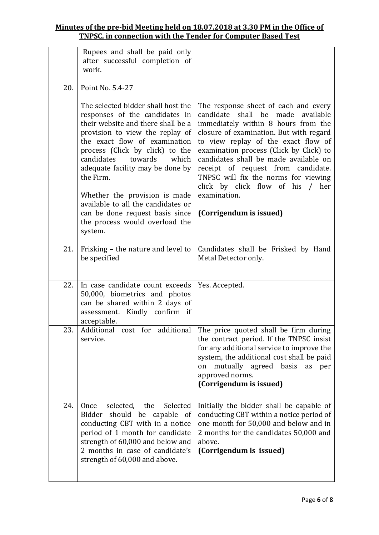|     | Rupees and shall be paid only<br>after successful completion of<br>work.                                                                                                                                                                                                                                                                                                    |                                                                                                                                                                                                                                                                                                                                                                                                                                      |
|-----|-----------------------------------------------------------------------------------------------------------------------------------------------------------------------------------------------------------------------------------------------------------------------------------------------------------------------------------------------------------------------------|--------------------------------------------------------------------------------------------------------------------------------------------------------------------------------------------------------------------------------------------------------------------------------------------------------------------------------------------------------------------------------------------------------------------------------------|
| 20. | Point No. 5.4-27                                                                                                                                                                                                                                                                                                                                                            |                                                                                                                                                                                                                                                                                                                                                                                                                                      |
|     | The selected bidder shall host the<br>responses of the candidates in<br>their website and there shall be a<br>provision to view the replay of<br>the exact flow of examination<br>process (Click by click) to the<br>candidates<br>towards<br>which<br>adequate facility may be done by<br>the Firm.<br>Whether the provision is made<br>available to all the candidates or | The response sheet of each and every<br>candidate<br>shall be<br>made<br>available<br>immediately within 8 hours from the<br>closure of examination. But with regard<br>to view replay of the exact flow of<br>examination process (Click by Click) to<br>candidates shall be made available on<br>receipt of request from candidate.<br>TNPSC will fix the norms for viewing<br>click by click flow of his /<br>her<br>examination. |
|     | can be done request basis since<br>the process would overload the<br>system.                                                                                                                                                                                                                                                                                                | (Corrigendum is issued)                                                                                                                                                                                                                                                                                                                                                                                                              |
| 21. | Frisking - the nature and level to<br>be specified                                                                                                                                                                                                                                                                                                                          | Candidates shall be Frisked by Hand<br>Metal Detector only.                                                                                                                                                                                                                                                                                                                                                                          |
| 22. | In case candidate count exceeds<br>50,000, biometrics and photos<br>can be shared within 2 days of<br>assessment. Kindly confirm if<br>acceptable.                                                                                                                                                                                                                          | Yes. Accepted.                                                                                                                                                                                                                                                                                                                                                                                                                       |
| 23. | service.                                                                                                                                                                                                                                                                                                                                                                    | Additional cost for additional The price quoted shall be firm during<br>the contract period. If the TNPSC insist<br>for any additional service to improve the<br>system, the additional cost shall be paid<br>mutually agreed basis<br>on<br>as<br>per<br>approved norms.<br>(Corrigendum is issued)                                                                                                                                 |
| 24. | selected,<br>the<br>Selected<br>Once<br>Bidder should be capable<br>- of<br>conducting CBT with in a notice<br>period of 1 month for candidate<br>strength of 60,000 and below and<br>2 months in case of candidate's<br>strength of 60,000 and above.                                                                                                                      | Initially the bidder shall be capable of<br>conducting CBT within a notice period of<br>one month for 50,000 and below and in<br>2 months for the candidates 50,000 and<br>above.<br>(Corrigendum is issued)                                                                                                                                                                                                                         |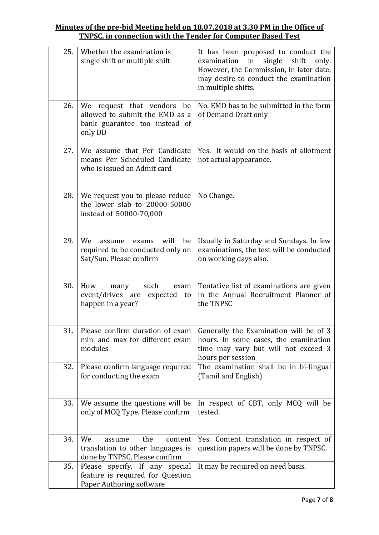| 25. | Whether the examination is<br>single shift or multiple shift                                                | It has been proposed to conduct the<br>in<br>single<br>examination<br>shift<br>only.<br>However, the Commission, in later date,<br>may desire to conduct the examination<br>in multiple shifts. |
|-----|-------------------------------------------------------------------------------------------------------------|-------------------------------------------------------------------------------------------------------------------------------------------------------------------------------------------------|
| 26. | We<br>request that vendors be<br>allowed to submit the EMD as a<br>bank guarantee too instead of<br>only DD | No. EMD has to be submitted in the form<br>of Demand Draft only                                                                                                                                 |
| 27. | We assume that Per Candidate<br>means Per Scheduled Candidate<br>who is issued an Admit card                | Yes. It would on the basis of allotment<br>not actual appearance.                                                                                                                               |
| 28. | We request you to please reduce<br>the lower slab to 20000-50000<br>instead of 50000-70,000                 | No Change.                                                                                                                                                                                      |
| 29. | We<br>will<br>be<br>assume<br>exams<br>required to be conducted only on<br>Sat/Sun. Please confirm          | Usually in Saturday and Sundays. In few<br>examinations, the test will be conducted<br>on working days also.                                                                                    |
| 30. | How<br>such<br>exam<br>many<br>event/drives are<br>expected<br>to<br>happen in a year?                      | Tentative list of examinations are given<br>in the Annual Recruitment Planner of<br>the TNPSC                                                                                                   |
| 31. | Please confirm duration of exam<br>min. and max for different exam<br>modules                               | Generally the Examination will be of 3<br>hours. In some cases, the examination<br>time may vary but will not exceed 3<br>hours per session                                                     |
| 32. | Please confirm language required<br>for conducting the exam                                                 | The examination shall be in bi-lingual<br>(Tamil and English)                                                                                                                                   |
| 33. | We assume the questions will be<br>only of MCQ Type. Please confirm                                         | In respect of CBT, only MCQ will be<br>tested.                                                                                                                                                  |
| 34. | We<br>the<br>content<br>assume<br>translation to other languages is<br>done by TNPSC, Please confirm        | Yes. Content translation in respect of<br>question papers will be done by TNPSC.                                                                                                                |
| 35. | Please specify, If any special<br>feature is required for Question<br>Paper Authoring software              | It may be required on need basis.                                                                                                                                                               |